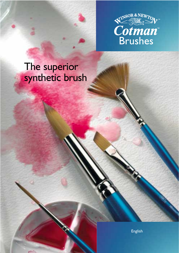

# The superior synthetic brush

â

English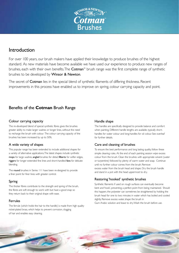

## Introduction

For over 100 years, our brush makers have applied their knowledge to produce brushes of the highest standard. As new materials have become available we have used our experience to produce new ranges of brushes, each with their own benefits. The **Cotman**<sup>™</sup> brush range was the first complete range of synthetic brushes to be developed by Winsor & Newton.

The secret of Cotman lies in the special blend of synthetic filaments of differing thickness. Recent improvements in this process have enabled us to improve on spring, colour carrying capacity and point.

## Benefits of the **Cotman** Brush Range

#### Colour carrying capacity

The re-developed blend of special synthetic fibres gives the brushes greater ability to make larger washes or longer lines, without the need to recharge the brush with colour. The colour carrying capacity of the brushes has been increased by up to 50%.

#### A wide variety of shapes

This popular range has been extended to include additional shapes for a variety of alternative applications.The latest shapes include synthetic mops for large washes, angled brushes for detail, filberts for softer edges, riggers for longer extended fine lines and short-handled fans for delicate blending.

The round brushes in Series 111 have been re-designed to provide a finer point for finer lines with greater control.

#### Spring

The thicker fibres contribute to the strength and spring of the brush, the fibres are soft enough to work with but have a good snap so they return back to their original shape with ease.

#### Ferrules

The ferrule (which holds the hair to the handle) is made from high quality nickel-plated brass, which helps to prevent corrosion, clogging of hair and enables easy cleaning.

#### Handle shape

The handles are specifically designed to provide balance and comfort when painting. Different handle lengths are available, typically shorthandles for water colour and long-handles for oil colour. See overleaf for further details.

#### Care and cleaning of brushes

To ensure the best performance and long lasting quality, follow these simple cleaning rules. At the end of each painting session wipe excess colour from the brush. Clean the brushes with appropriate solvent (water or turpentine) followed by plenty of warm water and soap. Continue until no further colour comes from the brush. Remove excess water from the brush head and shape. Dry the brush handle and stand in a pot with the head uppermost to dry.

#### Restoring 'hooked' synthetic brushes

Synthetic filaments if used on rough surfaces can eventually become bent and 'hook', preventing a perfect point from being maintained. Should this happen, the polyester can sometimes be straightened by holding the brush head for one to two minutes in water which has boiled and cooled slightly. Remove excess water, shape the brush in

Gum Arabic solution and leave to dry.Wash the brush before use.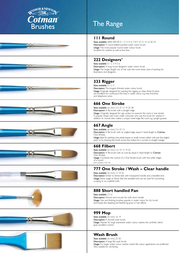



### **111 Round**

Sizes available: 0000 000 00 0 1 2 3 4 5 6 7 8 9 10 12 14 16 20 24 Description: A round bellied pointed water colour brush. Usage: The most popular round water colour brush. Excellent for washes as well as fine lines.

## **222 Designers'**

Sizes available:  $0 \mid 2 \mid 3 \mid 4 \mid 5 \mid 6$ Description: A long round designers' water colour brush. Usage:The longer 'length out' of hair suits the more linear style of painting for illustrators and designers.

## **333 Rigger**

Sizes available: 0 1 2 3 Description: The longest, thinnest water colour brush. Usage: Originally designed for painting the rigging on ships, these brushes are excellent for continuous fine lines in water colour e.g. tree branches and telephone wires.

## **666 One Stroke**

Sizes available: (in mm) 3 6 10 13 19 25 38

Description: A flat brush with a straight edge. Usage: Originally designed for sign writers to execute the mark in 'one stroke'. **A popular shape with many water colourists who use this brush for washes in** addition to rounds.Also makes a unique chisel edge flat mark, e.g. upright grasses.

## **667 Angle**

Sizes available: (in mm) 3 6 10 13 Description: A flat brush with an angled edge, equal in head length to Cotman One Strokes.

Usage: Ideal for painting rose petals, leaves or small corners, either with just the angled point or by drawing the brush across the surface for a curved or straight 'wedge'.

## **668 Filbert**

Sizes available: (in mm) 3 6 10 13 19 25 Description: A flat brush with an oval tip, equal in head length to Cotman One Strokes. Usage: Combines the control of a One Stroke brush with the softer edges of a round.

(Not available in the UK).

## **777 One Stroke / Wash – Clear handle**

Sizes available: (in mm) 13 19 25 Description: Similar to Series 666 with transparent handle and a bevelled end. Usage: Same usage as Series 666, the bevelled end can be used for burnishing, scraping or as a palette knife.

## **888 Short handled Fan**

Sizes available: 2 4 6 Description:Almost semi-circular fan with short handle. Usage: Fans are finishing brushes, popular in water colour for dry brush techniques like stippling and feathering grass or hair effects.

## **999 Mop**

Sizes available: (in mm) 16 19 Description: A domed wash brush. Usage: Popular for large expressive water colour washes, the synthetic blend gives excellent control.

## **Wash Brush**

Sizes available: (in mm) 25 50 Description: A large flat wash brush. Usage: For larger water colour washes where flat colour applications are preferred. Also suitable for varnishing.











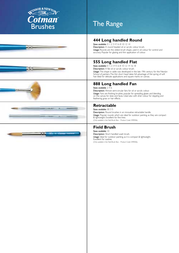

# The Range

## **444 Long handled Round**

Sizes available: 0 1 2 3 4 5 6 8 10 12 14 Description: A round headed oil or acrylic colour brush. Usage: Rounds are the oldest brush shape, used in oil colour for control and accuracy. Popular for glazing and thin application of colour.

## **555 Long handled Flat**

Sizes available: 0 1 2 3 4 5 6 8 10 12 14 16 18 Description: A flat oil or acrylic colour brush. Usage: This shape in sable was developed in the late 19th century for the Newlyn School of painters.The thin short head takes full advantage of the spring of soft hair. Ideal for delicate applications and square marks on canvas.

### **888 Long handled Fan**

Sizes available: 2 4 6 Description: Almost semi-circular fans for oil or acrylic colour. Usage: Fans are finishing brushes, popular for spreading glazes and blending on the canvas for skies and faces. Used also with drier colour for stippling and feathering grass or hair effects.

### **Retractable**

Sizes available: 00 3 5 Description: Round brushes in an innovative retractable handle. Usage: Popular rounds which are ideal for outdoor painting, as they are compact & lightweight. Excellent for fine lines. (Only available in the Field Brush Box – Product Code: 5390506).

## **Field Brush**

Sizes available: 10 Description: Short handled wash brush. Usage: Ideal for outdoor painting, as it is compact & lightweight. Excellent for washes. (Only available in the Field Brush Box – Product Code: 5390506).